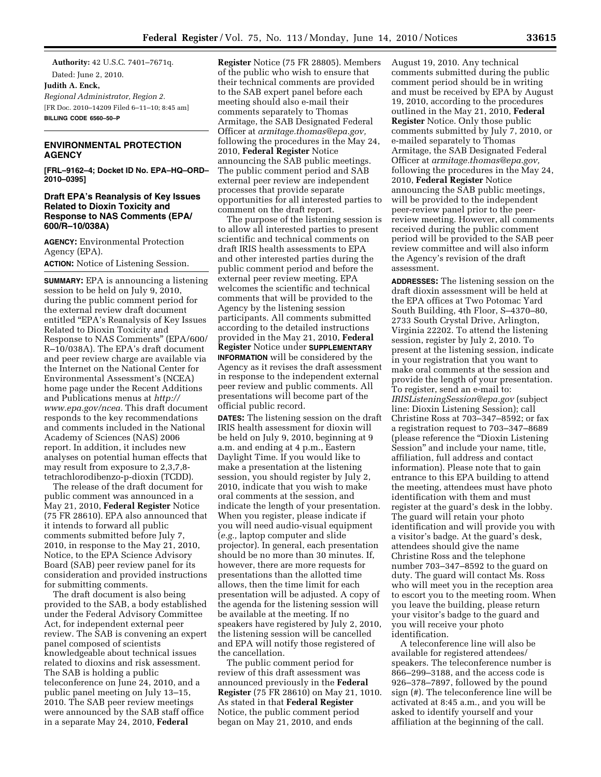**Authority:** 42 U.S.C. 7401–7671q. Dated: June 2, 2010. **Judith A. Enck,**  *Regional Administrator, Region 2.*  [FR Doc. 2010–14209 Filed 6–11–10; 8:45 am] **BILLING CODE 6560–50–P** 

## **ENVIRONMENTAL PROTECTION AGENCY**

**[FRL–9162–4; Docket ID No. EPA–HQ–ORD– 2010–0395]** 

#### **Draft EPA's Reanalysis of Key Issues Related to Dioxin Toxicity and Response to NAS Comments (EPA/ 600/R–10/038A)**

**AGENCY:** Environmental Protection Agency (EPA). **ACTION:** Notice of Listening Session.

**SUMMARY:** EPA is announcing a listening session to be held on July 9, 2010, during the public comment period for the external review draft document entitled "EPA's Reanalysis of Key Issues Related to Dioxin Toxicity and Response to NAS Comments'' (EPA/600/ R–10/038A). The EPA's draft document and peer review charge are available via the Internet on the National Center for Environmental Assessment's (NCEA) home page under the Recent Additions and Publications menus at *[http://](http://www.epa.gov/ncea) [www.epa.gov/ncea.](http://www.epa.gov/ncea)* This draft document responds to the key recommendations and comments included in the National Academy of Sciences (NAS) 2006 report. In addition, it includes new analyses on potential human effects that may result from exposure to 2,3,7,8 tetrachlorodibenzo-p-dioxin (TCDD).

The release of the draft document for public comment was announced in a May 21, 2010, **Federal Register** Notice (75 FR 28610). EPA also announced that it intends to forward all public comments submitted before July 7, 2010, in response to the May 21, 2010, Notice, to the EPA Science Advisory Board (SAB) peer review panel for its consideration and provided instructions for submitting comments.

The draft document is also being provided to the SAB, a body established under the Federal Advisory Committee Act, for independent external peer review. The SAB is convening an expert panel composed of scientists knowledgeable about technical issues related to dioxins and risk assessment. The SAB is holding a public teleconference on June 24, 2010, and a public panel meeting on July 13–15, 2010. The SAB peer review meetings were announced by the SAB staff office in a separate May 24, 2010, **Federal** 

**Register** Notice (75 FR 28805). Members of the public who wish to ensure that their technical comments are provided to the SAB expert panel before each meeting should also e-mail their comments separately to Thomas Armitage, the SAB Designated Federal Officer at *[armitage.thomas@epa.gov,](mailto:armitage.thomas@epa.gov)*  following the procedures in the May 24, 2010, **Federal Register** Notice announcing the SAB public meetings. The public comment period and SAB external peer review are independent processes that provide separate opportunities for all interested parties to comment on the draft report.

The purpose of the listening session is to allow all interested parties to present scientific and technical comments on draft IRIS health assessments to EPA and other interested parties during the public comment period and before the external peer review meeting. EPA welcomes the scientific and technical comments that will be provided to the Agency by the listening session participants. All comments submitted according to the detailed instructions provided in the May 21, 2010, **Federal Register** Notice under **SUPPLEMENTARY INFORMATION** will be considered by the Agency as it revises the draft assessment in response to the independent external peer review and public comments. All presentations will become part of the official public record.

**DATES:** The listening session on the draft IRIS health assessment for dioxin will be held on July 9, 2010, beginning at 9 a.m. and ending at 4 p.m., Eastern Daylight Time. If you would like to make a presentation at the listening session, you should register by July 2, 2010, indicate that you wish to make oral comments at the session, and indicate the length of your presentation. When you register, please indicate if you will need audio-visual equipment (*e.g.,* laptop computer and slide projector). In general, each presentation should be no more than 30 minutes. If, however, there are more requests for presentations than the allotted time allows, then the time limit for each presentation will be adjusted. A copy of the agenda for the listening session will be available at the meeting. If no speakers have registered by July 2, 2010, the listening session will be cancelled and EPA will notify those registered of the cancellation.

The public comment period for review of this draft assessment was announced previously in the **Federal Register** (75 FR 28610) on May 21, 1010. As stated in that **Federal Register**  Notice, the public comment period began on May 21, 2010, and ends

August 19, 2010. Any technical comments submitted during the public comment period should be in writing and must be received by EPA by August 19, 2010, according to the procedures outlined in the May 21, 2010, **Federal Register** Notice. Only those public comments submitted by July 7, 2010, or e-mailed separately to Thomas Armitage, the SAB Designated Federal Officer at *[armitage.thomas@epa.gov,](mailto:armitage.thomas@epa.gov)*  following the procedures in the May 24, 2010, **Federal Register** Notice announcing the SAB public meetings, will be provided to the independent peer-review panel prior to the peerreview meeting. However, all comments received during the public comment period will be provided to the SAB peer review committee and will also inform the Agency's revision of the draft assessment.

**ADDRESSES:** The listening session on the draft dioxin assessment will be held at the EPA offices at Two Potomac Yard South Building, 4th Floor, S–4370–80, 2733 South Crystal Drive, Arlington, Virginia 22202. To attend the listening session, register by July 2, 2010. To present at the listening session, indicate in your registration that you want to make oral comments at the session and provide the length of your presentation. To register, send an e-mail to: *[IRISListeningSession@epa.gov](mailto:IRISListeningSession@epa.gov)* (subject line: Dioxin Listening Session); call Christine Ross at 703–347–8592; or fax a registration request to 703–347–8689 (please reference the ''Dioxin Listening Session'' and include your name, title, affiliation, full address and contact information). Please note that to gain entrance to this EPA building to attend the meeting, attendees must have photo identification with them and must register at the guard's desk in the lobby. The guard will retain your photo identification and will provide you with a visitor's badge. At the guard's desk, attendees should give the name Christine Ross and the telephone number 703–347–8592 to the guard on duty. The guard will contact Ms. Ross who will meet you in the reception area to escort you to the meeting room. When you leave the building, please return your visitor's badge to the guard and you will receive your photo identification.

A teleconference line will also be available for registered attendees/ speakers. The teleconference number is 866–299–3188, and the access code is 926–378–7897, followed by the pound sign (#). The teleconference line will be activated at 8:45 a.m., and you will be asked to identify yourself and your affiliation at the beginning of the call.